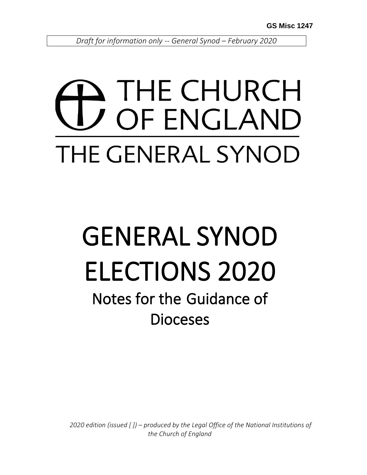*Draft for information only -- General Synod – February 2020*

## THE CHURCH OF ENGLAND THE GENERAL SYNOD

# GENERAL SYNOD ELECTIONS 2020

Notes for the Guidance of **Dioceses** 

 *2020 edition (issued [ ]) – produced by the Legal Office of the National Institutions of the Church of England*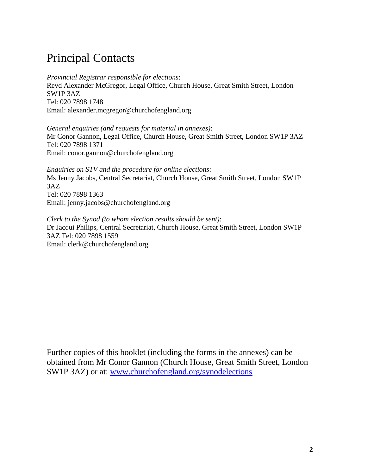## Principal Contacts

*Provincial Registrar responsible for elections*: Revd Alexander McGregor, Legal Office, Church House, Great Smith Street, London SW1P 3AZ Tel: 020 7898 1748 Email: alexander.mcgregor@churchofengland.org

*General enquiries (and requests for material in annexes)*: Mr Conor Gannon, Legal Office, Church House, Great Smith Street, London SW1P 3AZ Tel: 020 7898 1371 Email: conor.gannon@churchofengland.org

*Enquiries on STV and the procedure for online elections*: Ms Jenny Jacobs, Central Secretariat, Church House, Great Smith Street, London SW1P 3AZ Tel: 020 7898 1363 Email: jenny.jacobs@churchofengland.org

*Clerk to the Synod (to whom election results should be sent)*: Dr Jacqui Philips, Central Secretariat, Church House, Great Smith Street, London SW1P 3AZ Tel: 020 7898 1559 Email: clerk@churchofengland.org

Further copies of this booklet (including the forms in the annexes) can be obtained from Mr Conor Gannon (Church House, Great Smith Street, London SW1P 3AZ) or at: [www.churchofengland.org/synodelections](http://www.churchofengland.org/synodelections)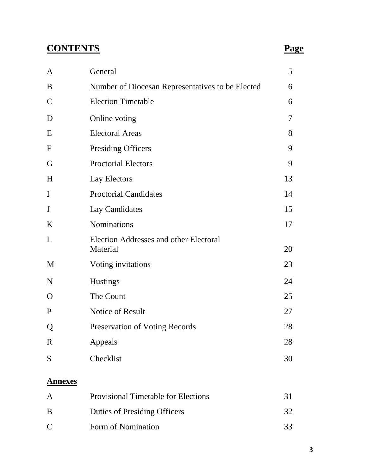## **CONTENTS Page**

| $\mathbf{A}$     | General                                            | 5  |
|------------------|----------------------------------------------------|----|
| B                | Number of Diocesan Representatives to be Elected   | 6  |
| $\mathbf C$      | <b>Election Timetable</b>                          | 6  |
| D                | Online voting                                      | 7  |
| E                | <b>Electoral Areas</b>                             | 8  |
| $\boldsymbol{F}$ | <b>Presiding Officers</b>                          | 9  |
| G                | <b>Proctorial Electors</b>                         | 9  |
| H                | Lay Electors                                       | 13 |
| $\mathbf I$      | <b>Proctorial Candidates</b>                       | 14 |
| $\mathbf{J}$     | Lay Candidates                                     | 15 |
| $\bf K$          | <b>Nominations</b>                                 | 17 |
| L                | Election Addresses and other Electoral<br>Material | 20 |
| M                | Voting invitations                                 | 23 |
| N                | <b>Hustings</b>                                    | 24 |
| $\mathbf{O}$     | The Count                                          | 25 |
| $\mathbf{P}$     | Notice of Result                                   | 27 |
| Q                | <b>Preservation of Voting Records</b>              | 28 |
| $\mathbf R$      | Appeals                                            | 28 |
| S                | Checklist                                          | 30 |
|                  |                                                    |    |

## **Annexes**

| $\mathsf{A}$                | <b>Provisional Timetable for Elections</b> |     |
|-----------------------------|--------------------------------------------|-----|
| B                           | Duties of Presiding Officers               | 32. |
| $\mathcal{C}_{\mathcal{C}}$ | Form of Nomination                         | 33  |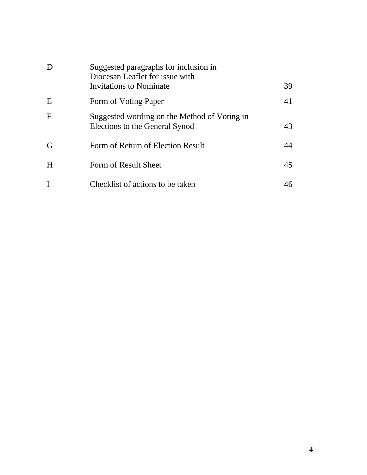| D           | Suggested paragraphs for inclusion in<br>Diocesan Leaflet for issue with<br>Invitations to Nominate | 39 |
|-------------|-----------------------------------------------------------------------------------------------------|----|
| E           | Form of Voting Paper                                                                                | 41 |
| $\mathbf F$ | Suggested wording on the Method of Voting in<br>Elections to the General Synod                      | 43 |
| G           | Form of Return of Election Result                                                                   | 44 |
| H           | Form of Result Sheet                                                                                | 45 |
|             | Checklist of actions to be taken                                                                    |    |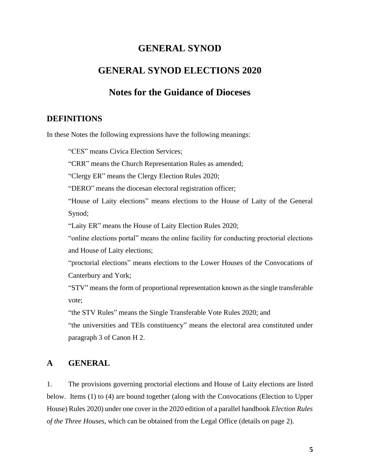## **GENERAL SYNOD**

## **GENERAL SYNOD ELECTIONS 2020**

## **Notes for the Guidance of Dioceses**

## **DEFINITIONS**

In these Notes the following expressions have the following meanings:

"CES" means Civica Election Services;

"CRR" means the Church Representation Rules as amended;

"Clergy ER" means the Clergy Election Rules 2020;

"DERO" means the diocesan electoral registration officer;

"House of Laity elections" means elections to the House of Laity of the General Synod;

"Laity ER" means the House of Laity Election Rules 2020;

"online elections portal" means the online facility for conducting proctorial elections and House of Laity elections;

"proctorial elections" means elections to the Lower Houses of the Convocations of Canterbury and York;

"STV" means the form of proportional representation known as the single transferable vote;

"the STV Rules" means the Single Transferable Vote Rules 2020; and

"the universities and TEIs constituency" means the electoral area constituted under paragraph 3 of Canon H 2.

## **A GENERAL**

1. The provisions governing proctorial elections and House of Laity elections are listed below. Items (1) to (4) are bound together (along with the Convocations (Election to Upper House) Rules 2020) under one cover in the 2020 edition of a parallel handbook *Election Rules of the Three Houses*, which can be obtained from the Legal Office (details on page 2).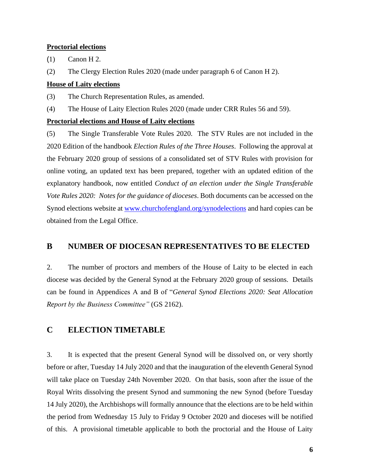#### **Proctorial elections**

(1) Canon H 2.

(2) The Clergy Election Rules 2020 (made under paragraph 6 of Canon H 2).

## **House of Laity elections**

(3) The Church Representation Rules, as amended.

(4) The House of Laity Election Rules 2020 (made under CRR Rules 56 and 59).

## **Proctorial elections and House of Laity elections**

(5) The Single Transferable Vote Rules 2020.The STV Rules are not included in the 2020 Edition of the handbook *Election Rules of the Three Houses*. Following the approval at the February 2020 group of sessions of a consolidated set of STV Rules with provision for online voting, an updated text has been prepared, together with an updated edition of the explanatory handbook, now entitled *Conduct of an election under the Single Transferable Vote Rules 2020: Notes for the guidance of dioceses*. Both documents can be accessed on the Synod elections website at [www.churchofengland.org/synodelections](http://www.churchofengland.org/synodelections) and hard copies can be obtained from the Legal Office.

## **B NUMBER OF DIOCESAN REPRESENTATIVES TO BE ELECTED**

2. The number of proctors and members of the House of Laity to be elected in each diocese was decided by the General Synod at the February 2020 group of sessions. Details can be found in Appendices A and B of "*General Synod Elections 2020: Seat Allocation Report by the Business Committee"* (GS 2162).

## **C ELECTION TIMETABLE**

3. It is expected that the present General Synod will be dissolved on, or very shortly before or after, Tuesday 14 July 2020 and that the inauguration of the eleventh General Synod will take place on Tuesday 24th November 2020. On that basis, soon after the issue of the Royal Writs dissolving the present Synod and summoning the new Synod (before Tuesday 14 July 2020), the Archbishops will formally announce that the elections are to be held within the period from Wednesday 15 July to Friday 9 October 2020 and dioceses will be notified of this. A provisional timetable applicable to both the proctorial and the House of Laity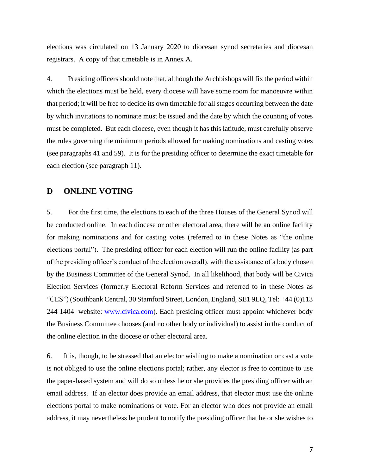elections was circulated on 13 January 2020 to diocesan synod secretaries and diocesan registrars. A copy of that timetable is in Annex A.

4. Presiding officers should note that, although the Archbishops will fix the period within which the elections must be held, every diocese will have some room for manoeuvre within that period; it will be free to decide its own timetable for all stages occurring between the date by which invitations to nominate must be issued and the date by which the counting of votes must be completed. But each diocese, even though it has this latitude, must carefully observe the rules governing the minimum periods allowed for making nominations and casting votes (see paragraphs 41 and 59). It is for the presiding officer to determine the exact timetable for each election (see paragraph 11).

## **D ONLINE VOTING**

5. For the first time, the elections to each of the three Houses of the General Synod will be conducted online. In each diocese or other electoral area, there will be an online facility for making nominations and for casting votes (referred to in these Notes as "the online elections portal"). The presiding officer for each election will run the online facility (as part of the presiding officer's conduct of the election overall), with the assistance of a body chosen by the Business Committee of the General Synod. In all likelihood, that body will be Civica Election Services (formerly Electoral Reform Services and referred to in these Notes as "CES") (Southbank Central, 30 Stamford Street, London, England, SE1 9LQ, Tel: +44 (0)113 244 1404 website: [www.civica.com\)](http://www.civica.com/). Each presiding officer must appoint whichever body the Business Committee chooses (and no other body or individual) to assist in the conduct of the online election in the diocese or other electoral area.

6. It is, though, to be stressed that an elector wishing to make a nomination or cast a vote is not obliged to use the online elections portal; rather, any elector is free to continue to use the paper-based system and will do so unless he or she provides the presiding officer with an email address. If an elector does provide an email address, that elector must use the online elections portal to make nominations or vote. For an elector who does not provide an email address, it may nevertheless be prudent to notify the presiding officer that he or she wishes to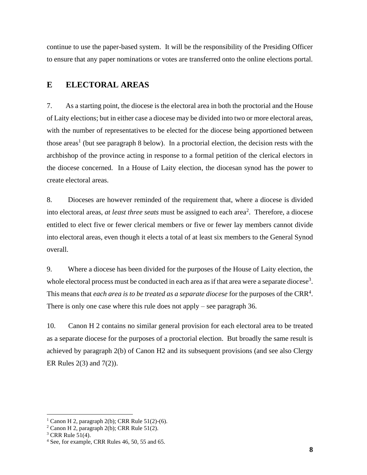continue to use the paper-based system. It will be the responsibility of the Presiding Officer to ensure that any paper nominations or votes are transferred onto the online elections portal.

## **E ELECTORAL AREAS**

7. As a starting point, the diocese is the electoral area in both the proctorial and the House of Laity elections; but in either case a diocese may be divided into two or more electoral areas, with the number of representatives to be elected for the diocese being apportioned between those areas<sup>1</sup> (but see paragraph 8 below). In a proctorial election, the decision rests with the archbishop of the province acting in response to a formal petition of the clerical electors in the diocese concerned. In a House of Laity election, the diocesan synod has the power to create electoral areas.

8. Dioceses are however reminded of the requirement that, where a diocese is divided into electoral areas, *at least three seats* must be assigned to each area<sup>2</sup>. Therefore, a diocese entitled to elect five or fewer clerical members or five or fewer lay members cannot divide into electoral areas, even though it elects a total of at least six members to the General Synod overall.

9. Where a diocese has been divided for the purposes of the House of Laity election, the whole electoral process must be conducted in each area as if that area were a separate diocese<sup>3</sup>. This means that *each area is to be treated as a separate diocese* for the purposes of the CRR<sup>4</sup>. There is only one case where this rule does not apply – see paragraph 36.

10. Canon H 2 contains no similar general provision for each electoral area to be treated as a separate diocese for the purposes of a proctorial election. But broadly the same result is achieved by paragraph 2(b) of Canon H2 and its subsequent provisions (and see also Clergy ER Rules 2(3) and 7(2)).

<sup>&</sup>lt;sup>1</sup> Canon H 2, paragraph 2(b); CRR Rule  $51(2)-(6)$ .

 $2$  Canon H 2, paragraph 2(b); CRR Rule 51(2).

 $3$  CRR Rule  $51(4)$ .

<sup>4</sup> See, for example, CRR Rules 46, 50, 55 and 65.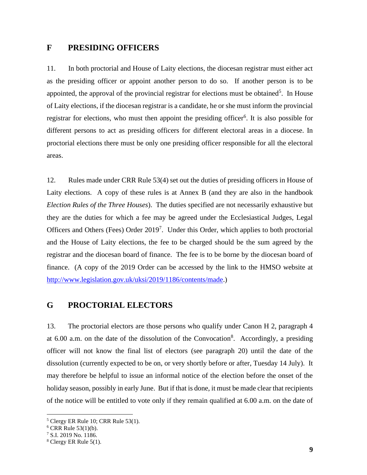## **F PRESIDING OFFICERS**

11. In both proctorial and House of Laity elections, the diocesan registrar must either act as the presiding officer or appoint another person to do so. If another person is to be appointed, the approval of the provincial registrar for elections must be obtained<sup>5</sup>. In House of Laity elections, if the diocesan registrar is a candidate, he or she must inform the provincial registrar for elections, who must then appoint the presiding officer<sup>6</sup>. It is also possible for different persons to act as presiding officers for different electoral areas in a diocese. In proctorial elections there must be only one presiding officer responsible for all the electoral areas.

12. Rules made under CRR Rule 53(4) set out the duties of presiding officers in House of Laity elections. A copy of these rules is at Annex B (and they are also in the handbook *Election Rules of the Three Houses*). The duties specified are not necessarily exhaustive but they are the duties for which a fee may be agreed under the Ecclesiastical Judges, Legal Officers and Others (Fees) Order 2019<sup>7</sup>. Under this Order, which applies to both proctorial and the House of Laity elections, the fee to be charged should be the sum agreed by the registrar and the diocesan board of finance. The fee is to be borne by the diocesan board of finance. (A copy of the 2019 Order can be accessed by the link to the HMSO website at [http://www.legislation.gov.uk/uksi/2019/1186/contents/made.](http://www.legislation.gov.uk/uksi/2019/1186/contents/made))

## **G PROCTORIAL ELECTORS**

13. The proctorial electors are those persons who qualify under Canon H 2, paragraph 4 at  $6.00$  a.m. on the date of the dissolution of the Convocation<sup>8</sup>. Accordingly, a presiding officer will not know the final list of electors (see paragraph 20) until the date of the dissolution (currently expected to be on, or very shortly before or after, Tuesday 14 July). It may therefore be helpful to issue an informal notice of the election before the onset of the holiday season, possibly in early June. But if that is done, it must be made clear that recipients of the notice will be entitled to vote only if they remain qualified at 6.00 a.m. on the date of

<sup>5</sup> Clergy ER Rule 10; CRR Rule 53(1).

 $6$  CRR Rule 53(1)(b).

<sup>7</sup> S.I. 2019 No. 1186.

 $8$  Clergy ER Rule 5(1).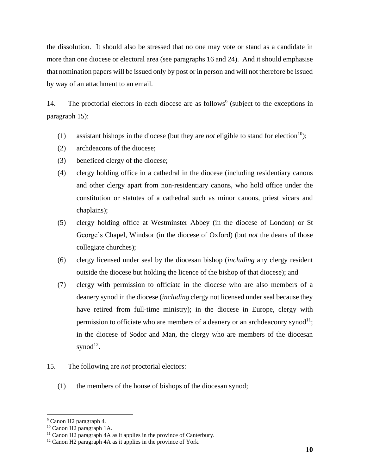the dissolution. It should also be stressed that no one may vote or stand as a candidate in more than one diocese or electoral area (see paragraphs 16 and 24). And it should emphasise that nomination papers will be issued only by post or in person and will not therefore be issued by way of an attachment to an email.

14. The proctorial electors in each diocese are as follows<sup>9</sup> (subject to the exceptions in paragraph 15):

- (1) assistant bishops in the diocese (but they are *not* eligible to stand for election<sup>10</sup>);
- (2) archdeacons of the diocese;
- (3) beneficed clergy of the diocese;
- (4) clergy holding office in a cathedral in the diocese (including residentiary canons and other clergy apart from non-residentiary canons, who hold office under the constitution or statutes of a cathedral such as minor canons, priest vicars and chaplains);
- (5) clergy holding office at Westminster Abbey (in the diocese of London) or St George's Chapel, Windsor (in the diocese of Oxford) (but *not* the deans of those collegiate churches);
- (6) clergy licensed under seal by the diocesan bishop (*including* any clergy resident outside the diocese but holding the licence of the bishop of that diocese); and
- (7) clergy with permission to officiate in the diocese who are also members of a deanery synod in the diocese (*including* clergy not licensed under seal because they have retired from full-time ministry); in the diocese in Europe, clergy with permission to officiate who are members of a deanery or an archdeaconry synod<sup>11</sup>; in the diocese of Sodor and Man, the clergy who are members of the diocesan synod $^{12}$ .
- 15. The following are *not* proctorial electors:
	- (1) the members of the house of bishops of the diocesan synod;

<sup>9</sup> Canon H2 paragraph 4.

<sup>10</sup> Canon H2 paragraph 1A.

<sup>&</sup>lt;sup>11</sup> Canon H2 paragraph 4A as it applies in the province of Canterbury.

 $12$  Canon H2 paragraph 4A as it applies in the province of York.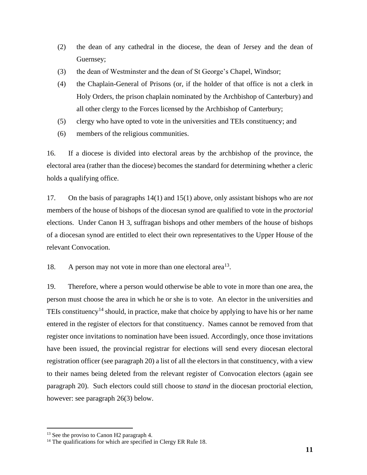- (2) the dean of any cathedral in the diocese, the dean of Jersey and the dean of Guernsey;
- (3) the dean of Westminster and the dean of St George's Chapel, Windsor;
- (4) the Chaplain-General of Prisons (or, if the holder of that office is not a clerk in Holy Orders, the prison chaplain nominated by the Archbishop of Canterbury) and all other clergy to the Forces licensed by the Archbishop of Canterbury;
- (5) clergy who have opted to vote in the universities and TEIs constituency; and
- (6) members of the religious communities.

16. If a diocese is divided into electoral areas by the archbishop of the province, the electoral area (rather than the diocese) becomes the standard for determining whether a cleric holds a qualifying office.

17. On the basis of paragraphs 14(1) and 15(1) above, only assistant bishops who are *not* members of the house of bishops of the diocesan synod are qualified to vote in the *proctorial* elections. Under Canon H 3, suffragan bishops and other members of the house of bishops of a diocesan synod are entitled to elect their own representatives to the Upper House of the relevant Convocation.

18. A person may not vote in more than one electoral area<sup>13</sup>.

19. Therefore, where a person would otherwise be able to vote in more than one area, the person must choose the area in which he or she is to vote. An elector in the universities and TEIs constituency<sup>14</sup> should, in practice, make that choice by applying to have his or her name entered in the register of electors for that constituency. Names cannot be removed from that register once invitations to nomination have been issued. Accordingly, once those invitations have been issued, the provincial registrar for elections will send every diocesan electoral registration officer (see paragraph 20) a list of all the electors in that constituency, with a view to their names being deleted from the relevant register of Convocation electors (again see paragraph 20). Such electors could still choose to *stand* in the diocesan proctorial election, however: see paragraph 26(3) below.

<sup>&</sup>lt;sup>13</sup> See the proviso to Canon H<sub>2</sub> paragraph 4.

<sup>&</sup>lt;sup>14</sup> The qualifications for which are specified in Clergy ER Rule 18.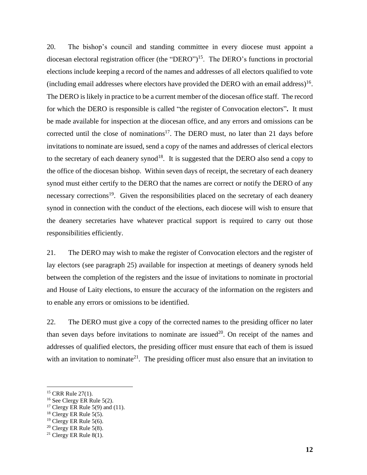20. The bishop's council and standing committee in every diocese must appoint a diocesan electoral registration officer (the "DERO") <sup>15</sup>. The DERO's functions in proctorial elections include keeping a record of the names and addresses of all electors qualified to vote (including email addresses where electors have provided the DERO with an email address) 16 . The DERO is likely in practice to be a current member of the diocesan office staff. The record for which the DERO is responsible is called "the register of Convocation electors"**.** It must be made available for inspection at the diocesan office, and any errors and omissions can be corrected until the close of nominations<sup>17</sup>. The DERO must, no later than 21 days before invitations to nominate are issued, send a copy of the names and addresses of clerical electors to the secretary of each deanery synod<sup>18</sup>. It is suggested that the DERO also send a copy to the office of the diocesan bishop. Within seven days of receipt, the secretary of each deanery synod must either certify to the DERO that the names are correct or notify the DERO of any necessary corrections<sup>19</sup>. Given the responsibilities placed on the secretary of each deanery synod in connection with the conduct of the elections, each diocese will wish to ensure that the deanery secretaries have whatever practical support is required to carry out those responsibilities efficiently.

21. The DERO may wish to make the register of Convocation electors and the register of lay electors (see paragraph 25) available for inspection at meetings of deanery synods held between the completion of the registers and the issue of invitations to nominate in proctorial and House of Laity elections, to ensure the accuracy of the information on the registers and to enable any errors or omissions to be identified.

22. The DERO must give a copy of the corrected names to the presiding officer no later than seven days before invitations to nominate are issued<sup>20</sup>. On receipt of the names and addresses of qualified electors, the presiding officer must ensure that each of them is issued with an invitation to nominate<sup>21</sup>. The presiding officer must also ensure that an invitation to

<sup>&</sup>lt;sup>15</sup> CRR Rule 27(1).

<sup>&</sup>lt;sup>16</sup> See Clergy ER Rule 5(2).

<sup>&</sup>lt;sup>17</sup> Clergy ER Rule 5(9) and (11).

 $18$  Clergy ER Rule 5(5).

<sup>&</sup>lt;sup>19</sup> Clergy ER Rule 5(6).

 $20$  Clergy ER Rule 5(8).

<sup>&</sup>lt;sup>21</sup> Clergy ER Rule  $8(1)$ .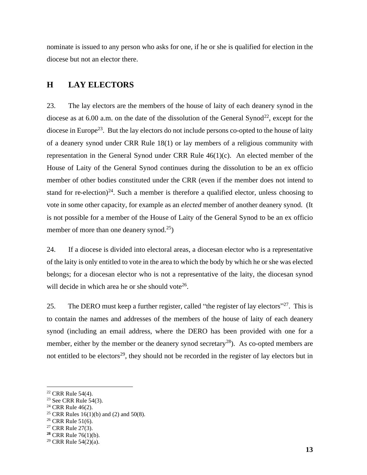nominate is issued to any person who asks for one, if he or she is qualified for election in the diocese but not an elector there.

## **H LAY ELECTORS**

23. The lay electors are the members of the house of laity of each deanery synod in the diocese as at 6.00 a.m. on the date of the dissolution of the General Synod<sup>22</sup>, except for the diocese in Europe<sup>23</sup>. But the lay electors do not include persons co-opted to the house of laity of a deanery synod under CRR Rule 18(1) or lay members of a religious community with representation in the General Synod under CRR Rule 46(1)(c). An elected member of the House of Laity of the General Synod continues during the dissolution to be an ex officio member of other bodies constituted under the CRR (even if the member does not intend to stand for re-election)<sup>24</sup>. Such a member is therefore a qualified elector, unless choosing to vote in some other capacity, for example as an *elected* member of another deanery synod. (It is not possible for a member of the House of Laity of the General Synod to be an ex officio member of more than one deanery synod.<sup>25</sup>)

24. If a diocese is divided into electoral areas, a diocesan elector who is a representative of the laity is only entitled to vote in the area to which the body by which he or she was elected belongs; for a diocesan elector who is not a representative of the laity, the diocesan synod will decide in which area he or she should vote<sup>26</sup>.

25. The DERO must keep a further register, called "the register of lay electors"<sup>27</sup>. This is to contain the names and addresses of the members of the house of laity of each deanery synod (including an email address, where the DERO has been provided with one for a member, either by the member or the deanery synod secretary<sup>28</sup>). As co-opted members are not entitled to be electors<sup>29</sup>, they should not be recorded in the register of lay electors but in

<sup>22</sup> CRR Rule 54(4).

 $23$  See CRR Rule 54(3).

<sup>24</sup> CRR Rule 46(2).

<sup>&</sup>lt;sup>25</sup> CRR Rules 16(1)(b) and (2) and 50(8).

<sup>&</sup>lt;sup>26</sup> CRR Rule 51(6).

<sup>27</sup> CRR Rule 27(3).

**<sup>28</sup>** CRR Rule 76(1)(b).

<sup>29</sup> CRR Rule 54(2)(a).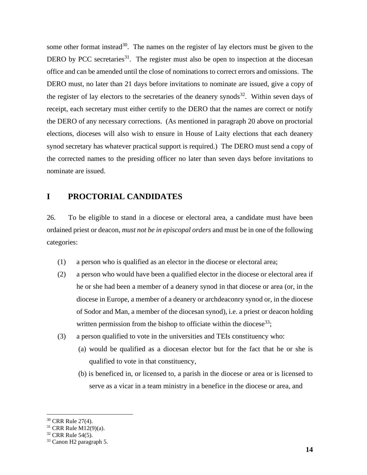some other format instead<sup>30</sup>. The names on the register of lay electors must be given to the DERO by PCC secretaries<sup>31</sup>. The register must also be open to inspection at the diocesan office and can be amended until the close of nominations to correct errors and omissions. The DERO must, no later than 21 days before invitations to nominate are issued, give a copy of the register of lay electors to the secretaries of the deanery synods<sup>32</sup>. Within seven days of receipt, each secretary must either certify to the DERO that the names are correct or notify the DERO of any necessary corrections. (As mentioned in paragraph 20 above on proctorial elections, dioceses will also wish to ensure in House of Laity elections that each deanery synod secretary has whatever practical support is required.) The DERO must send a copy of the corrected names to the presiding officer no later than seven days before invitations to nominate are issued.

## **I PROCTORIAL CANDIDATES**

26. To be eligible to stand in a diocese or electoral area, a candidate must have been ordained priest or deacon, *must not be in episcopal orders* and must be in one of the following categories:

- (1) a person who is qualified as an elector in the diocese or electoral area;
- (2) a person who would have been a qualified elector in the diocese or electoral area if he or she had been a member of a deanery synod in that diocese or area (or, in the diocese in Europe, a member of a deanery or archdeaconry synod or, in the diocese of Sodor and Man, a member of the diocesan synod), i.e. a priest or deacon holding written permission from the bishop to officiate within the diocese<sup>33</sup>;
- (3) a person qualified to vote in the universities and TEIs constituency who:
	- (a) would be qualified as a diocesan elector but for the fact that he or she is qualified to vote in that constituency,
	- (b) is beneficed in, or licensed to, a parish in the diocese or area or is licensed to serve as a vicar in a team ministry in a benefice in the diocese or area, and

<sup>&</sup>lt;sup>30</sup> CRR Rule 27(4).

<sup>31</sup> CRR Rule M12(9)(a).

 $32$  CRR Rule 54(5).

<sup>33</sup> Canon H2 paragraph 5.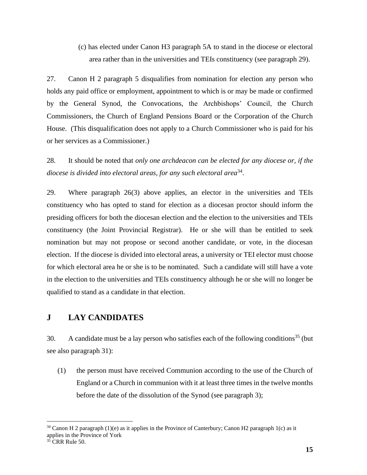(c) has elected under Canon H3 paragraph 5A to stand in the diocese or electoral area rather than in the universities and TEIs constituency (see paragraph 29).

27. Canon H 2 paragraph 5 disqualifies from nomination for election any person who holds any paid office or employment, appointment to which is or may be made or confirmed by the General Synod, the Convocations, the Archbishops' Council, the Church Commissioners, the Church of England Pensions Board or the Corporation of the Church House. (This disqualification does not apply to a Church Commissioner who is paid for his or her services as a Commissioner.)

28. It should be noted that *only one archdeacon can be elected for any diocese or, if the diocese is divided into electoral areas, for any such electoral area*<sup>34</sup> .

29. Where paragraph 26(3) above applies, an elector in the universities and TEIs constituency who has opted to stand for election as a diocesan proctor should inform the presiding officers for both the diocesan election and the election to the universities and TEIs constituency (the Joint Provincial Registrar). He or she will than be entitled to seek nomination but may not propose or second another candidate, or vote, in the diocesan election. If the diocese is divided into electoral areas, a university or TEI elector must choose for which electoral area he or she is to be nominated. Such a candidate will still have a vote in the election to the universities and TEIs constituency although he or she will no longer be qualified to stand as a candidate in that election.

## **J LAY CANDIDATES**

30. A candidate must be a lay person who satisfies each of the following conditions<sup>35</sup> (but see also paragraph 31):

(1) the person must have received Communion according to the use of the Church of England or a Church in communion with it at least three times in the twelve months before the date of the dissolution of the Synod (see paragraph 3);

 $34$  Canon H 2 paragraph (1)(e) as it applies in the Province of Canterbury; Canon H2 paragraph 1(c) as it applies in the Province of York

 $35$  CRR Rule 50.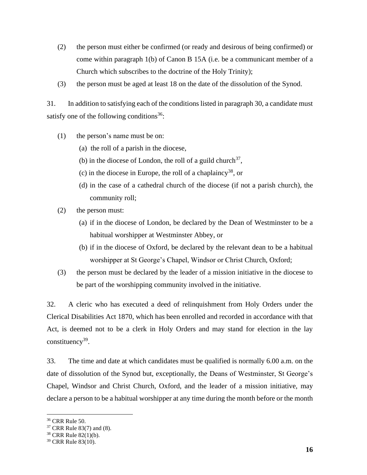- (2) the person must either be confirmed (or ready and desirous of being confirmed) or come within paragraph 1(b) of Canon B 15A (i.e. be a communicant member of a Church which subscribes to the doctrine of the Holy Trinity);
- (3) the person must be aged at least 18 on the date of the dissolution of the Synod.

31. In addition to satisfying each of the conditions listed in paragraph 30, a candidate must satisfy one of the following conditions<sup>36</sup>:

- (1) the person's name must be on:
	- (a) the roll of a parish in the diocese,
	- (b) in the diocese of London, the roll of a guild church<sup>37</sup>,
	- (c) in the diocese in Europe, the roll of a chaplaincy<sup>38</sup>, or
	- (d) in the case of a cathedral church of the diocese (if not a parish church), the community roll;
- (2) the person must:
	- (a) if in the diocese of London, be declared by the Dean of Westminster to be a habitual worshipper at Westminster Abbey, or
	- (b) if in the diocese of Oxford, be declared by the relevant dean to be a habitual worshipper at St George's Chapel, Windsor or Christ Church, Oxford;
- (3) the person must be declared by the leader of a mission initiative in the diocese to be part of the worshipping community involved in the initiative.

32. A cleric who has executed a deed of relinquishment from Holy Orders under the Clerical Disabilities Act 1870, which has been enrolled and recorded in accordance with that Act, is deemed not to be a clerk in Holy Orders and may stand for election in the lay constituency<sup>39</sup>.

33. The time and date at which candidates must be qualified is normally 6.00 a.m. on the date of dissolution of the Synod but, exceptionally, the Deans of Westminster, St George's Chapel, Windsor and Christ Church, Oxford, and the leader of a mission initiative, may declare a person to be a habitual worshipper at any time during the month before or the month

<sup>36</sup> CRR Rule 50.

<sup>37</sup> CRR Rule 83(7) and (8).

<sup>38</sup> CRR Rule 82(1)(b).

<sup>39</sup> CRR Rule 83(10).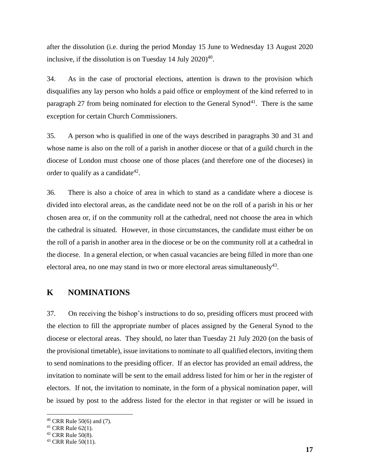after the dissolution (i.e. during the period Monday 15 June to Wednesday 13 August 2020 inclusive, if the dissolution is on Tuesday 14 July 2020)<sup>40</sup>.

34. As in the case of proctorial elections, attention is drawn to the provision which disqualifies any lay person who holds a paid office or employment of the kind referred to in paragraph 27 from being nominated for election to the General Synod<sup>41</sup>. There is the same exception for certain Church Commissioners.

35. A person who is qualified in one of the ways described in paragraphs 30 and 31 and whose name is also on the roll of a parish in another diocese or that of a guild church in the diocese of London must choose one of those places (and therefore one of the dioceses) in order to qualify as a candidate $42$ .

36. There is also a choice of area in which to stand as a candidate where a diocese is divided into electoral areas, as the candidate need not be on the roll of a parish in his or her chosen area or, if on the community roll at the cathedral, need not choose the area in which the cathedral is situated. However, in those circumstances, the candidate must either be on the roll of a parish in another area in the diocese or be on the community roll at a cathedral in the diocese. In a general election, or when casual vacancies are being filled in more than one electoral area, no one may stand in two or more electoral areas simultaneously<sup>43</sup>.

## **K NOMINATIONS**

37. On receiving the bishop's instructions to do so, presiding officers must proceed with the election to fill the appropriate number of places assigned by the General Synod to the diocese or electoral areas. They should, no later than Tuesday 21 July 2020 (on the basis of the provisional timetable), issue invitations to nominate to all qualified electors, inviting them to send nominations to the presiding officer. If an elector has provided an email address, the invitation to nominate will be sent to the email address listed for him or her in the register of electors. If not, the invitation to nominate, in the form of a physical nomination paper, will be issued by post to the address listed for the elector in that register or will be issued in

<sup>40</sup> CRR Rule 50(6) and (7).

<sup>41</sup> CRR Rule 62(1).

 $42$  CRR Rule 50(8).

 $43$  CRR Rule 50(11).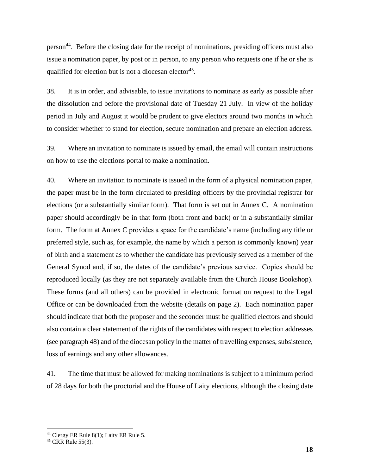person<sup>44</sup>. Before the closing date for the receipt of nominations, presiding officers must also issue a nomination paper, by post or in person, to any person who requests one if he or she is qualified for election but is not a diocesan elector<sup>45</sup>.

38. It is in order, and advisable, to issue invitations to nominate as early as possible after the dissolution and before the provisional date of Tuesday 21 July. In view of the holiday period in July and August it would be prudent to give electors around two months in which to consider whether to stand for election, secure nomination and prepare an election address.

39. Where an invitation to nominate is issued by email, the email will contain instructions on how to use the elections portal to make a nomination.

40. Where an invitation to nominate is issued in the form of a physical nomination paper, the paper must be in the form circulated to presiding officers by the provincial registrar for elections (or a substantially similar form). That form is set out in Annex C. A nomination paper should accordingly be in that form (both front and back) or in a substantially similar form. The form at Annex C provides a space for the candidate's name (including any title or preferred style, such as, for example, the name by which a person is commonly known) year of birth and a statement as to whether the candidate has previously served as a member of the General Synod and, if so, the dates of the candidate's previous service. Copies should be reproduced locally (as they are not separately available from the Church House Bookshop). These forms (and all others) can be provided in electronic format on request to the Legal Office or can be downloaded from the website (details on page 2). Each nomination paper should indicate that both the proposer and the seconder must be qualified electors and should also contain a clear statement of the rights of the candidates with respect to election addresses (see paragraph 48) and of the diocesan policy in the matter of travelling expenses, subsistence, loss of earnings and any other allowances.

41. The time that must be allowed for making nominations is subject to a minimum period of 28 days for both the proctorial and the House of Laity elections, although the closing date

<sup>44</sup> Clergy ER Rule 8(1); Laity ER Rule 5.

**<sup>45</sup>** CRR Rule 55(3).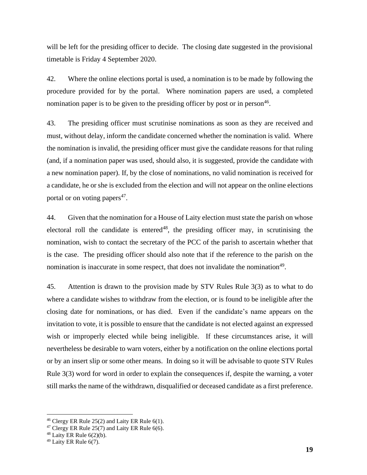will be left for the presiding officer to decide. The closing date suggested in the provisional timetable is Friday 4 September 2020.

42. Where the online elections portal is used, a nomination is to be made by following the procedure provided for by the portal. Where nomination papers are used, a completed nomination paper is to be given to the presiding officer by post or in person<sup>46</sup>.

43. The presiding officer must scrutinise nominations as soon as they are received and must, without delay, inform the candidate concerned whether the nomination is valid. Where the nomination is invalid, the presiding officer must give the candidate reasons for that ruling (and, if a nomination paper was used, should also, it is suggested, provide the candidate with a new nomination paper). If, by the close of nominations, no valid nomination is received for a candidate, he or she is excluded from the election and will not appear on the online elections portal or on voting papers<sup>47</sup>.

44. Given that the nomination for a House of Laity election must state the parish on whose electoral roll the candidate is entered<sup>48</sup>, the presiding officer may, in scrutinising the nomination, wish to contact the secretary of the PCC of the parish to ascertain whether that is the case. The presiding officer should also note that if the reference to the parish on the nomination is inaccurate in some respect, that does not invalidate the nomination<sup>49</sup>.

45. Attention is drawn to the provision made by STV Rules Rule 3(3) as to what to do where a candidate wishes to withdraw from the election, or is found to be ineligible after the closing date for nominations, or has died. Even if the candidate's name appears on the invitation to vote, it is possible to ensure that the candidate is not elected against an expressed wish or improperly elected while being ineligible. If these circumstances arise, it will nevertheless be desirable to warn voters, either by a notification on the online elections portal or by an insert slip or some other means. In doing so it will be advisable to quote STV Rules Rule 3(3) word for word in order to explain the consequences if, despite the warning, a voter still marks the name of the withdrawn, disqualified or deceased candidate as a first preference.

<sup>46</sup> Clergy ER Rule 25(2) and Laity ER Rule 6(1).

 $47$  Clergy ER Rule 25(7) and Laity ER Rule 6(6).

 $48$  Laity ER Rule  $6(2)(b)$ .

 $49$  Laity ER Rule 6(7).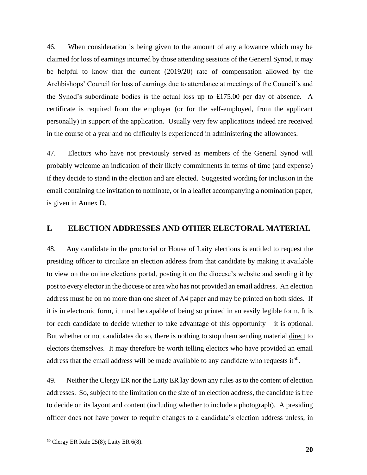46. When consideration is being given to the amount of any allowance which may be claimed for loss of earnings incurred by those attending sessions of the General Synod, it may be helpful to know that the current (2019/20) rate of compensation allowed by the Archbishops' Council for loss of earnings due to attendance at meetings of the Council's and the Synod's subordinate bodies is the actual loss up to £175.00 per day of absence. A certificate is required from the employer (or for the self-employed, from the applicant personally) in support of the application. Usually very few applications indeed are received in the course of a year and no difficulty is experienced in administering the allowances.

47. Electors who have not previously served as members of the General Synod will probably welcome an indication of their likely commitments in terms of time (and expense) if they decide to stand in the election and are elected. Suggested wording for inclusion in the email containing the invitation to nominate, or in a leaflet accompanying a nomination paper, is given in Annex D.

## **L ELECTION ADDRESSES AND OTHER ELECTORAL MATERIAL**

48. Any candidate in the proctorial or House of Laity elections is entitled to request the presiding officer to circulate an election address from that candidate by making it available to view on the online elections portal, posting it on the diocese's website and sending it by post to every elector in the diocese or area who has not provided an email address. An election address must be on no more than one sheet of A4 paper and may be printed on both sides. If it is in electronic form, it must be capable of being so printed in an easily legible form. It is for each candidate to decide whether to take advantage of this opportunity – it is optional. But whether or not candidates do so, there is nothing to stop them sending material direct to electors themselves. It may therefore be worth telling electors who have provided an email address that the email address will be made available to any candidate who requests it<sup>50</sup>.

49. Neither the Clergy ER nor the Laity ER lay down any rules as to the content of election addresses. So, subject to the limitation on the size of an election address, the candidate is free to decide on its layout and content (including whether to include a photograph). A presiding officer does not have power to require changes to a candidate's election address unless, in

<sup>50</sup> Clergy ER Rule 25(8); Laity ER 6(8).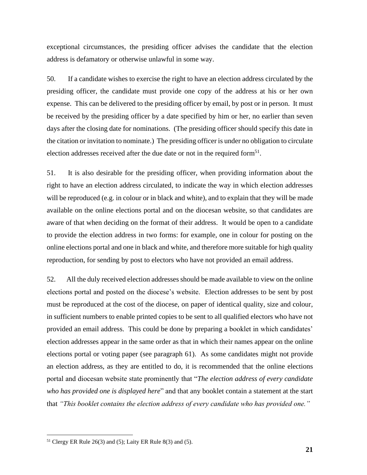exceptional circumstances, the presiding officer advises the candidate that the election address is defamatory or otherwise unlawful in some way.

50. If a candidate wishes to exercise the right to have an election address circulated by the presiding officer, the candidate must provide one copy of the address at his or her own expense. This can be delivered to the presiding officer by email, by post or in person. It must be received by the presiding officer by a date specified by him or her, no earlier than seven days after the closing date for nominations. (The presiding officer should specify this date in the citation or invitation to nominate.) The presiding officer is under no obligation to circulate election addresses received after the due date or not in the required form<sup>51</sup>.

51. It is also desirable for the presiding officer, when providing information about the right to have an election address circulated, to indicate the way in which election addresses will be reproduced (e.g. in colour or in black and white), and to explain that they will be made available on the online elections portal and on the diocesan website, so that candidates are aware of that when deciding on the format of their address. It would be open to a candidate to provide the election address in two forms: for example, one in colour for posting on the online elections portal and one in black and white, and therefore more suitable for high quality reproduction, for sending by post to electors who have not provided an email address.

52. All the duly received election addresses should be made available to view on the online elections portal and posted on the diocese's website. Election addresses to be sent by post must be reproduced at the cost of the diocese, on paper of identical quality, size and colour, in sufficient numbers to enable printed copies to be sent to all qualified electors who have not provided an email address. This could be done by preparing a booklet in which candidates' election addresses appear in the same order as that in which their names appear on the online elections portal or voting paper (see paragraph 61). As some candidates might not provide an election address, as they are entitled to do, it is recommended that the online elections portal and diocesan website state prominently that "*The election address of every candidate who has provided one is displayed here*" and that any booklet contain a statement at the start that *"This booklet contains the election address of every candidate who has provided one."*

 $51$  Clergy ER Rule 26(3) and (5); Laity ER Rule 8(3) and (5).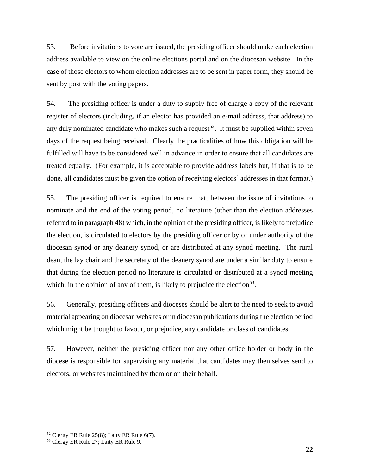53. Before invitations to vote are issued, the presiding officer should make each election address available to view on the online elections portal and on the diocesan website. In the case of those electors to whom election addresses are to be sent in paper form, they should be sent by post with the voting papers.

54. The presiding officer is under a duty to supply free of charge a copy of the relevant register of electors (including, if an elector has provided an e-mail address, that address) to any duly nominated candidate who makes such a request<sup>52</sup>. It must be supplied within seven days of the request being received. Clearly the practicalities of how this obligation will be fulfilled will have to be considered well in advance in order to ensure that all candidates are treated equally. (For example, it is acceptable to provide address labels but, if that is to be done, all candidates must be given the option of receiving electors' addresses in that format.)

55. The presiding officer is required to ensure that, between the issue of invitations to nominate and the end of the voting period, no literature (other than the election addresses referred to in paragraph 48) which, in the opinion of the presiding officer, is likely to prejudice the election, is circulated to electors by the presiding officer or by or under authority of the diocesan synod or any deanery synod, or are distributed at any synod meeting. The rural dean, the lay chair and the secretary of the deanery synod are under a similar duty to ensure that during the election period no literature is circulated or distributed at a synod meeting which, in the opinion of any of them, is likely to prejudice the election<sup>53</sup>.

56. Generally, presiding officers and dioceses should be alert to the need to seek to avoid material appearing on diocesan websites or in diocesan publications during the election period which might be thought to favour, or prejudice, any candidate or class of candidates.

57. However, neither the presiding officer nor any other office holder or body in the diocese is responsible for supervising any material that candidates may themselves send to electors, or websites maintained by them or on their behalf.

 $52$  Clergy ER Rule 25(8); Laity ER Rule 6(7).

<sup>53</sup> Clergy ER Rule 27; Laity ER Rule 9.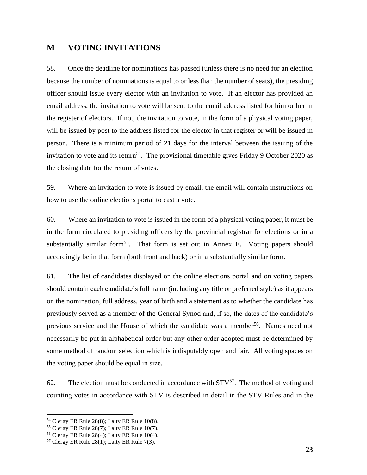## **M VOTING INVITATIONS**

58. Once the deadline for nominations has passed (unless there is no need for an election because the number of nominations is equal to or less than the number of seats), the presiding officer should issue every elector with an invitation to vote. If an elector has provided an email address, the invitation to vote will be sent to the email address listed for him or her in the register of electors. If not, the invitation to vote, in the form of a physical voting paper, will be issued by post to the address listed for the elector in that register or will be issued in person. There is a minimum period of 21 days for the interval between the issuing of the invitation to vote and its return<sup>54</sup>. The provisional timetable gives Friday 9 October 2020 as the closing date for the return of votes.

59. Where an invitation to vote is issued by email, the email will contain instructions on how to use the online elections portal to cast a vote.

60. Where an invitation to vote is issued in the form of a physical voting paper, it must be in the form circulated to presiding officers by the provincial registrar for elections or in a substantially similar form<sup>55</sup>. That form is set out in Annex E. Voting papers should accordingly be in that form (both front and back) or in a substantially similar form.

61. The list of candidates displayed on the online elections portal and on voting papers should contain each candidate's full name (including any title or preferred style) as it appears on the nomination, full address, year of birth and a statement as to whether the candidate has previously served as a member of the General Synod and, if so, the dates of the candidate's previous service and the House of which the candidate was a member<sup>56</sup>. Names need not necessarily be put in alphabetical order but any other order adopted must be determined by some method of random selection which is indisputably open and fair. All voting spaces on the voting paper should be equal in size.

62. The election must be conducted in accordance with  $STV<sup>57</sup>$ . The method of voting and counting votes in accordance with STV is described in detail in the STV Rules and in the

<sup>54</sup> Clergy ER Rule 28(8); Laity ER Rule 10(8).

<sup>55</sup> Clergy ER Rule 28(7); Laity ER Rule 10(7).

 $56$  Clergy ER Rule 28(4); Laity ER Rule 10(4).

 $57$  Clergy ER Rule 28(1); Laity ER Rule 7(3).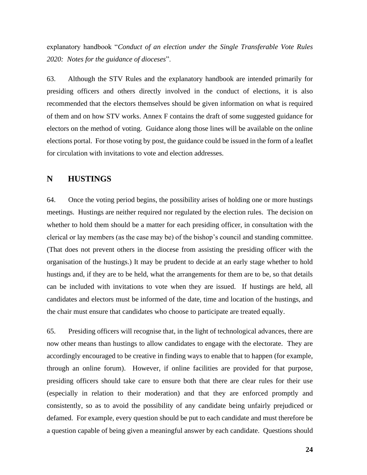explanatory handbook "*Conduct of an election under the Single Transferable Vote Rules 2020: Notes for the guidance of dioceses*".

63. Although the STV Rules and the explanatory handbook are intended primarily for presiding officers and others directly involved in the conduct of elections, it is also recommended that the electors themselves should be given information on what is required of them and on how STV works. Annex F contains the draft of some suggested guidance for electors on the method of voting. Guidance along those lines will be available on the online elections portal. For those voting by post, the guidance could be issued in the form of a leaflet for circulation with invitations to vote and election addresses.

## **N HUSTINGS**

64. Once the voting period begins, the possibility arises of holding one or more hustings meetings. Hustings are neither required nor regulated by the election rules. The decision on whether to hold them should be a matter for each presiding officer, in consultation with the clerical or lay members (as the case may be) of the bishop's council and standing committee. (That does not prevent others in the diocese from assisting the presiding officer with the organisation of the hustings.) It may be prudent to decide at an early stage whether to hold hustings and, if they are to be held, what the arrangements for them are to be, so that details can be included with invitations to vote when they are issued. If hustings are held, all candidates and electors must be informed of the date, time and location of the hustings, and the chair must ensure that candidates who choose to participate are treated equally.

65. Presiding officers will recognise that, in the light of technological advances, there are now other means than hustings to allow candidates to engage with the electorate. They are accordingly encouraged to be creative in finding ways to enable that to happen (for example, through an online forum). However, if online facilities are provided for that purpose, presiding officers should take care to ensure both that there are clear rules for their use (especially in relation to their moderation) and that they are enforced promptly and consistently, so as to avoid the possibility of any candidate being unfairly prejudiced or defamed. For example, every question should be put to each candidate and must therefore be a question capable of being given a meaningful answer by each candidate. Questions should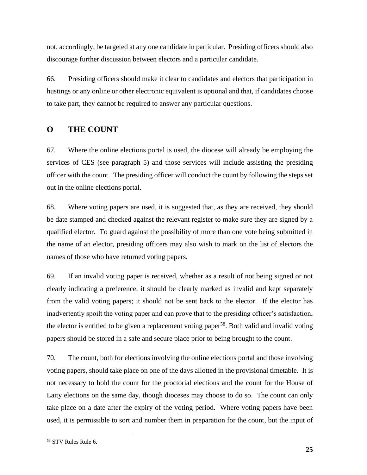not, accordingly, be targeted at any one candidate in particular. Presiding officers should also discourage further discussion between electors and a particular candidate.

66. Presiding officers should make it clear to candidates and electors that participation in hustings or any online or other electronic equivalent is optional and that, if candidates choose to take part, they cannot be required to answer any particular questions.

## **O THE COUNT**

67. Where the online elections portal is used, the diocese will already be employing the services of CES (see paragraph 5) and those services will include assisting the presiding officer with the count. The presiding officer will conduct the count by following the steps set out in the online elections portal.

68. Where voting papers are used, it is suggested that, as they are received, they should be date stamped and checked against the relevant register to make sure they are signed by a qualified elector. To guard against the possibility of more than one vote being submitted in the name of an elector, presiding officers may also wish to mark on the list of electors the names of those who have returned voting papers.

69. If an invalid voting paper is received, whether as a result of not being signed or not clearly indicating a preference, it should be clearly marked as invalid and kept separately from the valid voting papers; it should not be sent back to the elector. If the elector has inadvertently spoilt the voting paper and can prove that to the presiding officer's satisfaction, the elector is entitled to be given a replacement voting paper<sup>58</sup>. Both valid and invalid voting papers should be stored in a safe and secure place prior to being brought to the count.

70. The count, both for elections involving the online elections portal and those involving voting papers, should take place on one of the days allotted in the provisional timetable. It is not necessary to hold the count for the proctorial elections and the count for the House of Laity elections on the same day, though dioceses may choose to do so. The count can only take place on a date after the expiry of the voting period. Where voting papers have been used, it is permissible to sort and number them in preparation for the count, but the input of

<sup>58</sup> STV Rules Rule 6.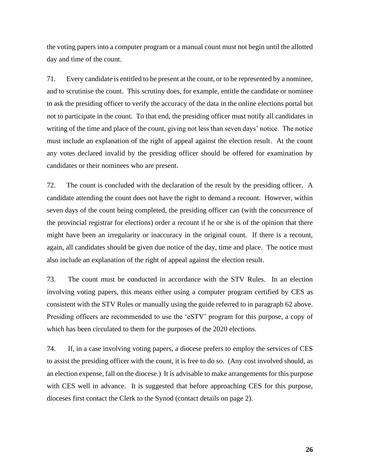the voting papers into a computer program or a manual count must not begin until the allotted day and time of the count*.*

71. Every candidate is entitled to be present at the count, or to be represented by a nominee, and to scrutinise the count. This scrutiny does, for example, entitle the candidate or nominee to ask the presiding officer to verify the accuracy of the data in the online elections portal but not to participate in the count. To that end, the presiding officer must notify all candidates in writing of the time and place of the count, giving not less than seven days' notice. The notice must include an explanation of the right of appeal against the election result. At the count any votes declared invalid by the presiding officer should be offered for examination by candidates or their nominees who are present.

72. The count is concluded with the declaration of the result by the presiding officer. A candidate attending the count does not have the right to demand a recount. However, within seven days of the count being completed, the presiding officer can (with the concurrence of the provincial registrar for elections) order a recount if he or she is of the opinion that there might have been an irregularity or inaccuracy in the original count. If there is a recount, again, all candidates should be given due notice of the day, time and place. The notice must also include an explanation of the right of appeal against the election result.

73. The count must be conducted in accordance with the STV Rules. In an election involving voting papers, this means either using a computer program certified by CES as consistent with the STV Rules or manually using the guide referred to in paragraph 62 above. Presiding officers are recommended to use the 'eSTV' program for this purpose, a copy of which has been circulated to them for the purposes of the 2020 elections.

74. If, in a case involving voting papers, a diocese prefers to employ the services of CES to assist the presiding officer with the count, it is free to do so. (Any cost involved should, as an election expense, fall on the diocese.) It is advisable to make arrangements for this purpose with CES well in advance. It is suggested that before approaching CES for this purpose, dioceses first contact the Clerk to the Synod (contact details on page 2).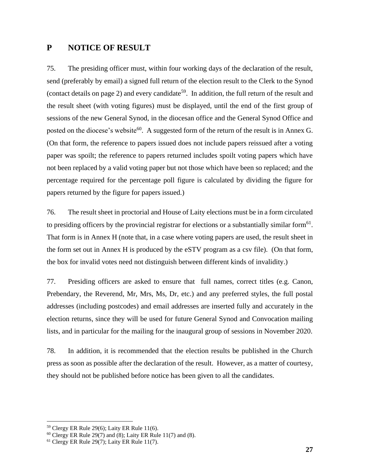## **P NOTICE OF RESULT**

75. The presiding officer must, within four working days of the declaration of the result, send (preferably by email) a signed full return of the election result to the Clerk to the Synod (contact details on page 2) and every candidate<sup>59</sup>. In addition, the full return of the result and the result sheet (with voting figures) must be displayed, until the end of the first group of sessions of the new General Synod, in the diocesan office and the General Synod Office and posted on the diocese's website<sup>60</sup>. A suggested form of the return of the result is in Annex G. (On that form, the reference to papers issued does not include papers reissued after a voting paper was spoilt; the reference to papers returned includes spoilt voting papers which have not been replaced by a valid voting paper but not those which have been so replaced; and the percentage required for the percentage poll figure is calculated by dividing the figure for papers returned by the figure for papers issued.)

76. The result sheet in proctorial and House of Laity elections must be in a form circulated to presiding officers by the provincial registrar for elections or a substantially similar form<sup>61</sup>. That form is in Annex H (note that, in a case where voting papers are used, the result sheet in the form set out in Annex H is produced by the eSTV program as a csv file). (On that form, the box for invalid votes need not distinguish between different kinds of invalidity.)

77. Presiding officers are asked to ensure that full names, correct titles (e.g. Canon, Prebendary, the Reverend, Mr, Mrs, Ms, Dr, etc.) and any preferred styles, the full postal addresses (including postcodes) and email addresses are inserted fully and accurately in the election returns, since they will be used for future General Synod and Convocation mailing lists, and in particular for the mailing for the inaugural group of sessions in November 2020.

78. In addition, it is recommended that the election results be published in the Church press as soon as possible after the declaration of the result. However, as a matter of courtesy, they should not be published before notice has been given to all the candidates.

 $59$  Clergy ER Rule 29(6); Laity ER Rule 11(6).

 $60$  Clergy ER Rule 29(7) and (8); Laity ER Rule 11(7) and (8).

 $61$  Clergy ER Rule 29(7); Laity ER Rule 11(7).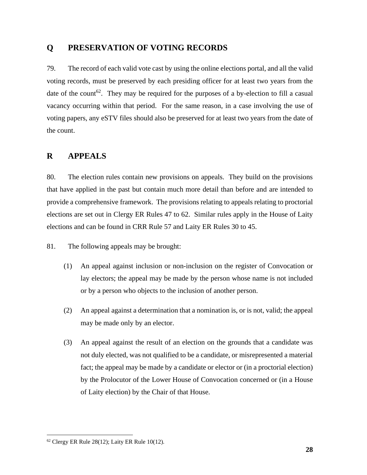## **Q PRESERVATION OF VOTING RECORDS**

79. The record of each valid vote cast by using the online elections portal, and all the valid voting records, must be preserved by each presiding officer for at least two years from the date of the count<sup>62</sup>. They may be required for the purposes of a by-election to fill a casual vacancy occurring within that period. For the same reason, in a case involving the use of voting papers, any eSTV files should also be preserved for at least two years from the date of the count.

## **R APPEALS**

80. The election rules contain new provisions on appeals. They build on the provisions that have applied in the past but contain much more detail than before and are intended to provide a comprehensive framework. The provisions relating to appeals relating to proctorial elections are set out in Clergy ER Rules 47 to 62. Similar rules apply in the House of Laity elections and can be found in CRR Rule 57 and Laity ER Rules 30 to 45.

81. The following appeals may be brought:

- (1) An appeal against inclusion or non-inclusion on the register of Convocation or lay electors; the appeal may be made by the person whose name is not included or by a person who objects to the inclusion of another person.
- (2) An appeal against a determination that a nomination is, or is not, valid; the appeal may be made only by an elector.
- (3) An appeal against the result of an election on the grounds that a candidate was not duly elected, was not qualified to be a candidate, or misrepresented a material fact; the appeal may be made by a candidate or elector or (in a proctorial election) by the Prolocutor of the Lower House of Convocation concerned or (in a House of Laity election) by the Chair of that House.

 $62$  Clergy ER Rule 28(12); Laity ER Rule 10(12).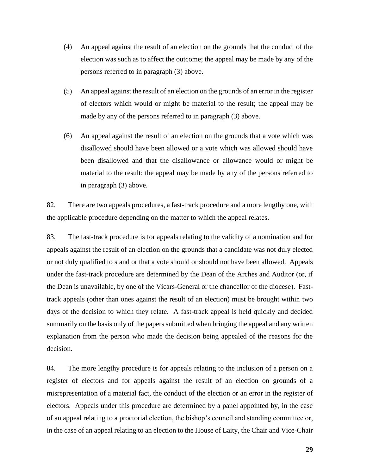- (4) An appeal against the result of an election on the grounds that the conduct of the election was such as to affect the outcome; the appeal may be made by any of the persons referred to in paragraph (3) above.
- (5) An appeal against the result of an election on the grounds of an error in the register of electors which would or might be material to the result; the appeal may be made by any of the persons referred to in paragraph (3) above.
- (6) An appeal against the result of an election on the grounds that a vote which was disallowed should have been allowed or a vote which was allowed should have been disallowed and that the disallowance or allowance would or might be material to the result; the appeal may be made by any of the persons referred to in paragraph (3) above.

82. There are two appeals procedures, a fast-track procedure and a more lengthy one, with the applicable procedure depending on the matter to which the appeal relates.

83. The fast-track procedure is for appeals relating to the validity of a nomination and for appeals against the result of an election on the grounds that a candidate was not duly elected or not duly qualified to stand or that a vote should or should not have been allowed. Appeals under the fast-track procedure are determined by the Dean of the Arches and Auditor (or, if the Dean is unavailable, by one of the Vicars-General or the chancellor of the diocese). Fasttrack appeals (other than ones against the result of an election) must be brought within two days of the decision to which they relate. A fast-track appeal is held quickly and decided summarily on the basis only of the papers submitted when bringing the appeal and any written explanation from the person who made the decision being appealed of the reasons for the decision.

84. The more lengthy procedure is for appeals relating to the inclusion of a person on a register of electors and for appeals against the result of an election on grounds of a misrepresentation of a material fact, the conduct of the election or an error in the register of electors. Appeals under this procedure are determined by a panel appointed by, in the case of an appeal relating to a proctorial election, the bishop's council and standing committee or, in the case of an appeal relating to an election to the House of Laity, the Chair and Vice-Chair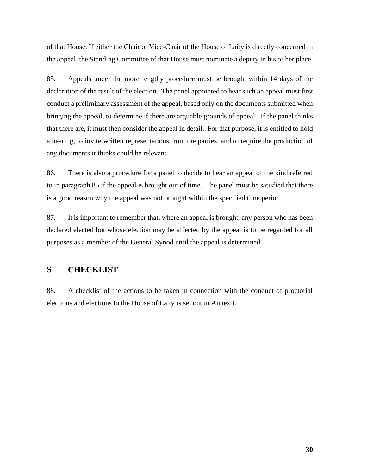of that House. If either the Chair or Vice-Chair of the House of Laity is directly concerned in the appeal, the Standing Committee of that House must nominate a deputy in his or her place.

85. Appeals under the more lengthy procedure must be brought within 14 days of the declaration of the result of the election. The panel appointed to hear such an appeal must first conduct a preliminary assessment of the appeal, based only on the documents submitted when bringing the appeal, to determine if there are arguable grounds of appeal. If the panel thinks that there are, it must then consider the appeal in detail. For that purpose, it is entitled to hold a hearing, to invite written representations from the parties, and to require the production of any documents it thinks could be relevant.

86. There is also a procedure for a panel to decide to hear an appeal of the kind referred to in paragraph 85 if the appeal is brought out of time. The panel must be satisfied that there is a good reason why the appeal was not brought within the specified time period.

87. It is important to remember that, where an appeal is brought, any person who has been declared elected but whose election may be affected by the appeal is to be regarded for all purposes as a member of the General Synod until the appeal is determined.

## **S CHECKLIST**

88. A checklist of the actions to be taken in connection with the conduct of proctorial elections and elections to the House of Laity is set out in Annex I.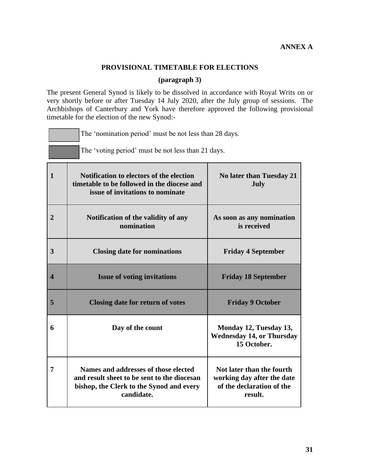## **PROVISIONAL TIMETABLE FOR ELECTIONS**

#### **(paragraph 3)**

The present General Synod is likely to be dissolved in accordance with Royal Writs on or very shortly before or after Tuesday 14 July 2020, after the July group of sessions. The Archbishops of Canterbury and York have therefore approved the following provisional timetable for the election of the new Synod:-

The 'nomination period' must be not less than 28 days.

|                         | The 'voting period' must be not less than 21 days.                                                                                            |                                                                                                 |  |  |
|-------------------------|-----------------------------------------------------------------------------------------------------------------------------------------------|-------------------------------------------------------------------------------------------------|--|--|
| $\mathbf{1}$            | Notification to electors of the election<br>timetable to be followed in the diocese and<br>issue of invitations to nominate                   | No later than Tuesday 21<br>July                                                                |  |  |
| $\overline{2}$          | Notification of the validity of any<br>nomination                                                                                             | As soon as any nomination<br>is received                                                        |  |  |
| 3                       | <b>Closing date for nominations</b>                                                                                                           | <b>Friday 4 September</b>                                                                       |  |  |
| $\overline{\mathbf{4}}$ | <b>Issue of voting invitations</b>                                                                                                            | <b>Friday 18 September</b>                                                                      |  |  |
| 5                       | <b>Closing date for return of votes</b>                                                                                                       | <b>Friday 9 October</b>                                                                         |  |  |
| 6                       | Day of the count                                                                                                                              | Monday 12, Tuesday 13,<br><b>Wednesday 14, or Thursday</b><br>15 October.                       |  |  |
| 7                       | Names and addresses of those elected<br>and result sheet to be sent to the diocesan<br>bishop, the Clerk to the Synod and every<br>candidate. | Not later than the fourth<br>working day after the date<br>of the declaration of the<br>result. |  |  |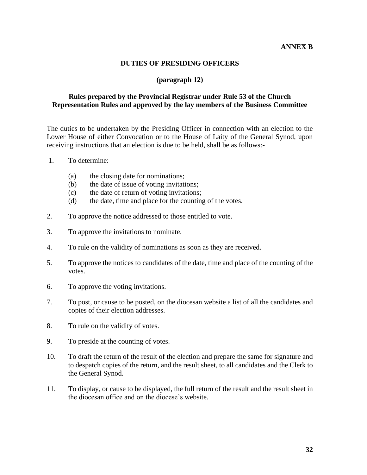#### **ANNEX B**

#### **DUTIES OF PRESIDING OFFICERS**

#### **(paragraph 12)**

## **Rules prepared by the Provincial Registrar under Rule 53 of the Church Representation Rules and approved by the lay members of the Business Committee**

The duties to be undertaken by the Presiding Officer in connection with an election to the Lower House of either Convocation or to the House of Laity of the General Synod, upon receiving instructions that an election is due to be held, shall be as follows:-

- 1. To determine:
	- (a) the closing date for nominations;
	- (b) the date of issue of voting invitations;
	- (c) the date of return of voting invitations;
	- (d) the date, time and place for the counting of the votes.
- 2. To approve the notice addressed to those entitled to vote.
- 3. To approve the invitations to nominate.
- 4. To rule on the validity of nominations as soon as they are received.
- 5. To approve the notices to candidates of the date, time and place of the counting of the votes.
- 6. To approve the voting invitations.
- 7. To post, or cause to be posted, on the diocesan website a list of all the candidates and copies of their election addresses.
- 8. To rule on the validity of votes.
- 9. To preside at the counting of votes.
- 10. To draft the return of the result of the election and prepare the same for signature and to despatch copies of the return, and the result sheet, to all candidates and the Clerk to the General Synod.
- 11. To display, or cause to be displayed, the full return of the result and the result sheet in the diocesan office and on the diocese's website.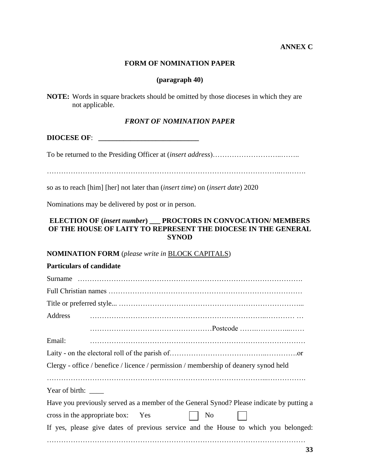## **ANNEX C**

#### **FORM OF NOMINATION PAPER**

#### **(paragraph 40)**

| <b>NOTE:</b> Words in square brackets should be omitted by those dioceses in which they are |  |  |  |
|---------------------------------------------------------------------------------------------|--|--|--|
| not applicable.                                                                             |  |  |  |

#### *FRONT OF NOMINATION PAPER*

**DIOCESE OF**: **\_\_\_\_\_\_\_\_\_\_\_\_\_\_\_\_\_\_\_\_\_\_\_\_\_\_\_\_**

To be returned to the Presiding Officer at (*insert address*)………………………..……..

……………………………………………………………………………………..….…….

so as to reach [him] [her] not later than (*insert time*) on (*insert date*) 2020

Nominations may be delivered by post or in person.

## **ELECTION OF (***insert number***) \_\_\_ PROCTORS IN CONVOCATION/ MEMBERS OF THE HOUSE OF LAITY TO REPRESENT THE DIOCESE IN THE GENERAL SYNOD**

#### **NOMINATION FORM** (*please write in* BLOCK CAPITALS)

| <b>Particulars of candidate</b> |                                                                                           |
|---------------------------------|-------------------------------------------------------------------------------------------|
|                                 |                                                                                           |
|                                 |                                                                                           |
|                                 |                                                                                           |
| Address                         |                                                                                           |
|                                 |                                                                                           |
| Email:                          |                                                                                           |
|                                 |                                                                                           |
|                                 | Clergy - office / benefice / licence / permission / membership of deanery synod held      |
|                                 |                                                                                           |
| Year of birth: $\_\_$           |                                                                                           |
|                                 | Have you previously served as a member of the General Synod? Please indicate by putting a |
|                                 | cross in the appropriate box: Yes<br>No                                                   |
|                                 | If yes, please give dates of previous service and the House to which you belonged:        |
|                                 |                                                                                           |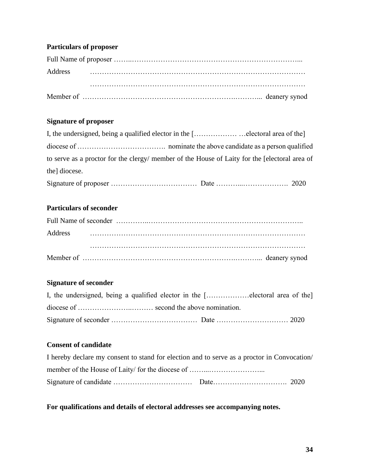## **Particulars of proposer**

## **Signature of proposer**

| I, the undersigned, being a qualified elector in the [electoral area of the]                                                                                                                                                                                                                                    |              |          |
|-----------------------------------------------------------------------------------------------------------------------------------------------------------------------------------------------------------------------------------------------------------------------------------------------------------------|--------------|----------|
|                                                                                                                                                                                                                                                                                                                 |              |          |
| to serve as a proctor for the clergy/member of the House of Laity for the [electoral area of                                                                                                                                                                                                                    |              |          |
| the diocese.                                                                                                                                                                                                                                                                                                    |              |          |
| $\mathbf{a}$ , $\mathbf{b}$ , $\mathbf{c}$ , $\mathbf{c}$ , $\mathbf{c}$ , $\mathbf{c}$ , $\mathbf{c}$ , $\mathbf{c}$ , $\mathbf{c}$ , $\mathbf{c}$ , $\mathbf{c}$ , $\mathbf{c}$ , $\mathbf{c}$ , $\mathbf{c}$ , $\mathbf{c}$ , $\mathbf{c}$ , $\mathbf{c}$ , $\mathbf{c}$ , $\mathbf{c}$ , $\mathbf{c}$ , $\$ | $\mathbf{r}$ | $\Omega$ |

## **Particulars of seconder**

## **Signature of seconder**

| I, the undersigned, being a qualified elector in the [electoral area of the] |  |
|------------------------------------------------------------------------------|--|
|                                                                              |  |
|                                                                              |  |

## **Consent of candidate**

| I hereby declare my consent to stand for election and to serve as a proctor in Convocation |  |
|--------------------------------------------------------------------------------------------|--|
|                                                                                            |  |
|                                                                                            |  |

## **For qualifications and details of electoral addresses see accompanying notes.**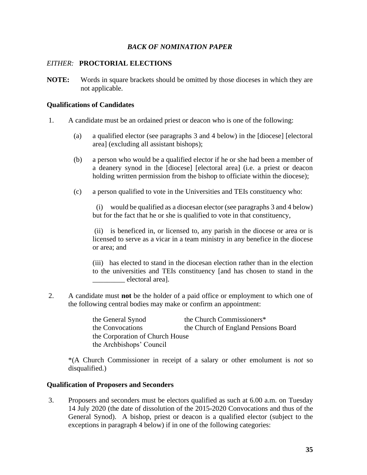#### *BACK OF NOMINATION PAPER*

#### *EITHER:* **PROCTORIAL ELECTIONS**

**NOTE:** Words in square brackets should be omitted by those dioceses in which they are not applicable.

#### **Qualifications of Candidates**

- 1. A candidate must be an ordained priest or deacon who is one of the following:
	- (a) a qualified elector (see paragraphs 3 and 4 below) in the [diocese] [electoral area] (excluding all assistant bishops);
	- (b) a person who would be a qualified elector if he or she had been a member of a deanery synod in the [diocese] [electoral area] (i.e. a priest or deacon holding written permission from the bishop to officiate within the diocese);
	- (c) a person qualified to vote in the Universities and TEIs constituency who:

 (i) would be qualified as a diocesan elector (see paragraphs 3 and 4 below) but for the fact that he or she is qualified to vote in that constituency,

(ii) is beneficed in, or licensed to, any parish in the diocese or area or is licensed to serve as a vicar in a team ministry in any benefice in the diocese or area; and

(iii) has elected to stand in the diocesan election rather than in the election to the universities and TEIs constituency [and has chosen to stand in the electoral area].

2. A candidate must **not** be the holder of a paid office or employment to which one of the following central bodies may make or confirm an appointment:

> the General Synod the Church Commissioners\* the Convocations the Church of England Pensions Board the Corporation of Church House the Archbishops' Council

\*(A Church Commissioner in receipt of a salary or other emolument is *not* so disqualified.)

## **Qualification of Proposers and Seconders**

3. Proposers and seconders must be electors qualified as such at 6.00 a.m. on Tuesday 14 July 2020 (the date of dissolution of the 2015-2020 Convocations and thus of the General Synod). A bishop, priest or deacon is a qualified elector (subject to the exceptions in paragraph 4 below) if in one of the following categories: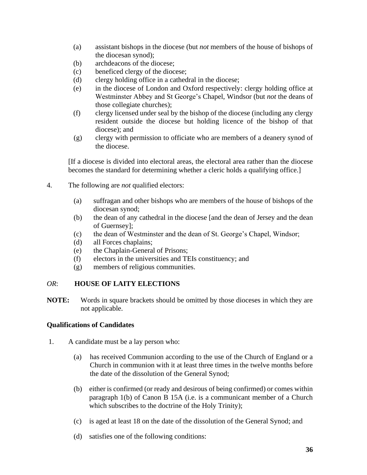- (a) assistant bishops in the diocese (but *not* members of the house of bishops of the diocesan synod);
- (b) archdeacons of the diocese;
- (c) beneficed clergy of the diocese;
- (d) clergy holding office in a cathedral in the diocese;
- (e) in the diocese of London and Oxford respectively: clergy holding office at Westminster Abbey and St George's Chapel, Windsor (but *not* the deans of those collegiate churches);
- (f) clergy licensed under seal by the bishop of the diocese (including any clergy resident outside the diocese but holding licence of the bishop of that diocese); and
- (g) clergy with permission to officiate who are members of a deanery synod of the diocese.

[If a diocese is divided into electoral areas, the electoral area rather than the diocese becomes the standard for determining whether a cleric holds a qualifying office.]

- 4. The following are *not* qualified electors:
	- (a) suffragan and other bishops who are members of the house of bishops of the diocesan synod;
	- (b) the dean of any cathedral in the diocese [and the dean of Jersey and the dean of Guernsey];
	- (c) the dean of Westminster and the dean of St. George's Chapel, Windsor;
	- (d) all Forces chaplains;
	- (e) the Chaplain-General of Prisons;
	- (f) electors in the universities and TEIs constituency; and
	- (g) members of religious communities.

## *OR*: **HOUSE OF LAITY ELECTIONS**

**NOTE:** Words in square brackets should be omitted by those dioceses in which they are not applicable.

## **Qualifications of Candidates**

- 1. A candidate must be a lay person who:
	- (a) has received Communion according to the use of the Church of England or a Church in communion with it at least three times in the twelve months before the date of the dissolution of the General Synod;
	- (b) either is confirmed (or ready and desirous of being confirmed) or comes within paragraph 1(b) of Canon B 15A (i.e. is a communicant member of a Church which subscribes to the doctrine of the Holy Trinity);
	- (c) is aged at least 18 on the date of the dissolution of the General Synod; and
	- (d) satisfies one of the following conditions: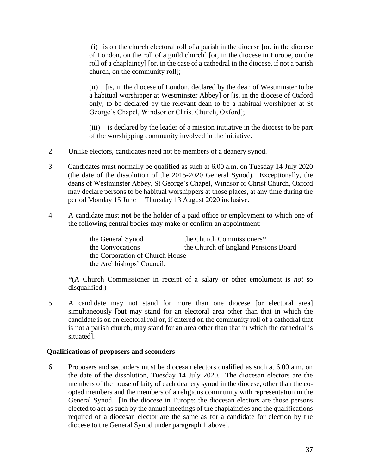(i) is on the church electoral roll of a parish in the diocese [or, in the diocese of London, on the roll of a guild church] [or, in the diocese in Europe, on the roll of a chaplaincy] [or, in the case of a cathedral in the diocese, if not a parish church, on the community roll];

(ii) [is, in the diocese of London, declared by the dean of Westminster to be a habitual worshipper at Westminster Abbey] or [is, in the diocese of Oxford only, to be declared by the relevant dean to be a habitual worshipper at St George's Chapel, Windsor or Christ Church, Oxford];

(iii) is declared by the leader of a mission initiative in the diocese to be part of the worshipping community involved in the initiative.

- 2. Unlike electors, candidates need not be members of a deanery synod.
- 3. Candidates must normally be qualified as such at 6.00 a.m. on Tuesday 14 July 2020 (the date of the dissolution of the 2015-2020 General Synod). Exceptionally, the deans of Westminster Abbey, St George's Chapel, Windsor or Christ Church, Oxford may declare persons to be habitual worshippers at those places, at any time during the period Monday 15 June – Thursday 13 August 2020 inclusive.
- 4. A candidate must **not** be the holder of a paid office or employment to which one of the following central bodies may make or confirm an appointment:

the General Synod the Church Commissioners\* the Convocations the Church of England Pensions Board the Corporation of Church House the Archbishops' Council.

\*(A Church Commissioner in receipt of a salary or other emolument is *not* so disqualified.)

5. A candidate may not stand for more than one diocese [or electoral area] simultaneously [but may stand for an electoral area other than that in which the candidate is on an electoral roll or, if entered on the community roll of a cathedral that is not a parish church, may stand for an area other than that in which the cathedral is situated].

## **Qualifications of proposers and seconders**

6. Proposers and seconders must be diocesan electors qualified as such at 6.00 a.m. on the date of the dissolution, Tuesday 14 July 2020. The diocesan electors are the members of the house of laity of each deanery synod in the diocese, other than the coopted members and the members of a religious community with representation in the General Synod. [In the diocese in Europe: the diocesan electors are those persons elected to act as such by the annual meetings of the chaplaincies and the qualifications required of a diocesan elector are the same as for a candidate for election by the diocese to the General Synod under paragraph 1 above].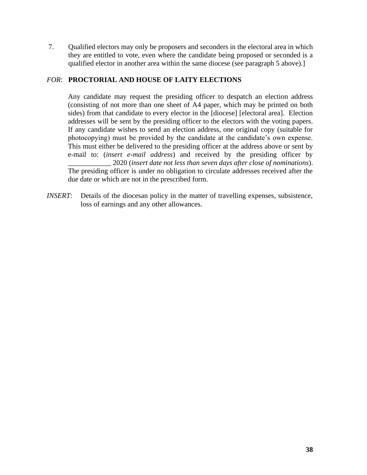7. Qualified electors may only be proposers and seconders in the electoral area in which they are entitled to vote, even where the candidate being proposed or seconded is a qualified elector in another area within the same diocese (see paragraph 5 above).]

## *FOR*: **PROCTORIAL AND HOUSE OF LAITY ELECTIONS**

Any candidate may request the presiding officer to despatch an election address (consisting of not more than one sheet of A4 paper, which may be printed on both sides) from that candidate to every elector in the [diocese] [electoral area]. Election addresses will be sent by the presiding officer to the electors with the voting papers. If any candidate wishes to send an election address, one original copy (suitable for photocopying) must be provided by the candidate at the candidate's own expense. This must either be delivered to the presiding officer at the address above or sent by e-mail to: (*insert e-mail address*) and received by the presiding officer by \_\_\_\_\_\_\_\_\_\_\_\_ 2020 (*insert date not less than seven days after close of nominations*).

The presiding officer is under no obligation to circulate addresses received after the due date or which are not in the prescribed form.

*INSERT*: Details of the diocesan policy in the matter of travelling expenses, subsistence, loss of earnings and any other allowances.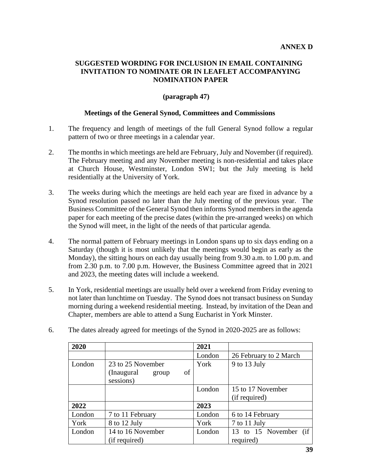## **SUGGESTED WORDING FOR INCLUSION IN EMAIL CONTAINING INVITATION TO NOMINATE OR IN LEAFLET ACCOMPANYING NOMINATION PAPER**

## **(paragraph 47)**

## **Meetings of the General Synod, Committees and Commissions**

- 1. The frequency and length of meetings of the full General Synod follow a regular pattern of two or three meetings in a calendar year.
- 2. The months in which meetings are held are February, July and November (if required). The February meeting and any November meeting is non-residential and takes place at Church House, Westminster, London SW1; but the July meeting is held residentially at the University of York.
- 3. The weeks during which the meetings are held each year are fixed in advance by a Synod resolution passed no later than the July meeting of the previous year. The Business Committee of the General Synod then informs Synod members in the agenda paper for each meeting of the precise dates (within the pre-arranged weeks) on which the Synod will meet, in the light of the needs of that particular agenda.
- 4. The normal pattern of February meetings in London spans up to six days ending on a Saturday (though it is most unlikely that the meetings would begin as early as the Monday), the sitting hours on each day usually being from 9.30 a.m. to 1.00 p.m. and from 2.30 p.m. to 7.00 p.m. However, the Business Committee agreed that in 2021 and 2023, the meeting dates will include a weekend.
- 5. In York, residential meetings are usually held over a weekend from Friday evening to not later than lunchtime on Tuesday. The Synod does not transact business on Sunday morning during a weekend residential meeting. Instead, by invitation of the Dean and Chapter, members are able to attend a Sung Eucharist in York Minster.

| 2020   |                            | 2021   |                        |  |  |
|--------|----------------------------|--------|------------------------|--|--|
|        |                            | London | 26 February to 2 March |  |  |
| London | 23 to 25 November          | York   | 9 to 13 July           |  |  |
|        | of<br>(Inaugural)<br>group |        |                        |  |  |
|        | sessions)                  |        |                        |  |  |
|        |                            | London | 15 to 17 November      |  |  |
|        |                            |        | (if required)          |  |  |
| 2022   |                            | 2023   |                        |  |  |
| London | 7 to 11 February           | London | 6 to 14 February       |  |  |
| York   | 8 to 12 July               | York   | 7 to 11 July           |  |  |
| London | 14 to 16 November          | London | 13 to 15 November (if  |  |  |
|        | (if required)              |        | required)              |  |  |

6. The dates already agreed for meetings of the Synod in 2020-2025 are as follows: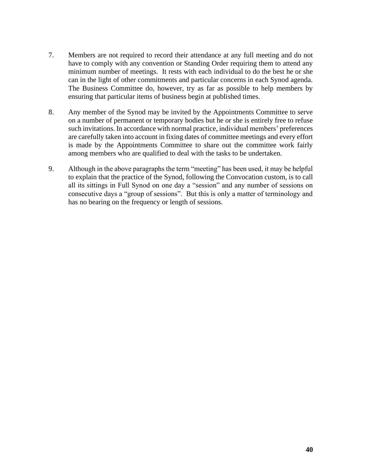- 7. Members are not required to record their attendance at any full meeting and do not have to comply with any convention or Standing Order requiring them to attend any minimum number of meetings. It rests with each individual to do the best he or she can in the light of other commitments and particular concerns in each Synod agenda. The Business Committee do, however, try as far as possible to help members by ensuring that particular items of business begin at published times.
- 8. Any member of the Synod may be invited by the Appointments Committee to serve on a number of permanent or temporary bodies but he or she is entirely free to refuse such invitations. In accordance with normal practice, individual members' preferences are carefully taken into account in fixing dates of committee meetings and every effort is made by the Appointments Committee to share out the committee work fairly among members who are qualified to deal with the tasks to be undertaken.
- 9. Although in the above paragraphs the term "meeting" has been used, it may be helpful to explain that the practice of the Synod, following the Convocation custom, is to call all its sittings in Full Synod on one day a "session" and any number of sessions on consecutive days a "group of sessions". But this is only a matter of terminology and has no bearing on the frequency or length of sessions.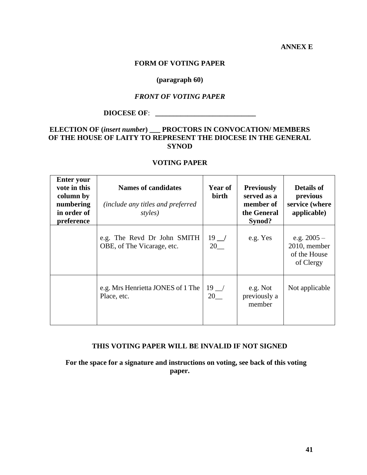**ANNEX E**

#### **FORM OF VOTING PAPER**

#### **(paragraph 60)**

## *FRONT OF VOTING PAPER*

## **DIOCESE OF**: **\_\_\_\_\_\_\_\_\_\_\_\_\_\_\_\_\_\_\_\_\_\_\_\_\_\_\_\_**

## **ELECTION OF (***insert number***) \_\_\_ PROCTORS IN CONVOCATION/ MEMBERS OF THE HOUSE OF LAITY TO REPRESENT THE DIOCESE IN THE GENERAL SYNOD**

## **VOTING PAPER**

| <b>Enter your</b><br>vote in this<br>column by<br>numbering<br>in order of<br>preference | <b>Names of candidates</b><br><i>(include any titles and preferred)</i><br>styles) | <b>Year of</b><br>birth                            | <b>Previously</b><br>served as a<br>member of<br>the General<br>Synod? | <b>Details of</b><br>previous<br>service (where<br>applicable) |
|------------------------------------------------------------------------------------------|------------------------------------------------------------------------------------|----------------------------------------------------|------------------------------------------------------------------------|----------------------------------------------------------------|
|                                                                                          | e.g. The Revd Dr John SMITH<br>OBE, of The Vicarage, etc.                          | $19$ $\overline{\phantom{0}}$<br>$20$ <sub>—</sub> | e.g. Yes                                                               | e.g. $2005 -$<br>2010, member<br>of the House<br>of Clergy     |
|                                                                                          | e.g. Mrs Henrietta JONES of 1 The<br>Place, etc.                                   | $19$ $\overline{\phantom{1}}$<br>20                | e.g. Not<br>previously a<br>member                                     | Not applicable                                                 |

## **THIS VOTING PAPER WILL BE INVALID IF NOT SIGNED**

 **For the space for a signature and instructions on voting, see back of this voting paper.**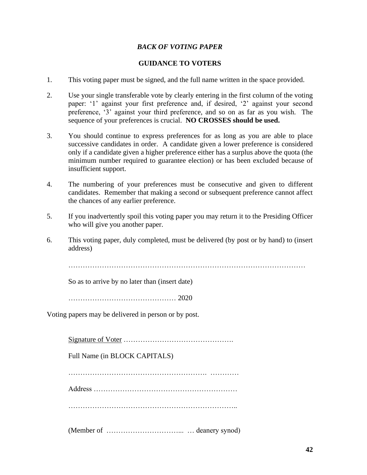## *BACK OF VOTING PAPER*

## **GUIDANCE TO VOTERS**

- 1. This voting paper must be signed, and the full name written in the space provided.
- 2. Use your single transferable vote by clearly entering in the first column of the voting paper: '1' against your first preference and, if desired, '2' against your second preference, '3' against your third preference, and so on as far as you wish. The sequence of your preferences is crucial. **NO CROSSES should be used.**
- 3. You should continue to express preferences for as long as you are able to place successive candidates in order. A candidate given a lower preference is considered only if a candidate given a higher preference either has a surplus above the quota (the minimum number required to guarantee election) or has been excluded because of insufficient support.
- 4. The numbering of your preferences must be consecutive and given to different candidates. Remember that making a second or subsequent preference cannot affect the chances of any earlier preference.
- 5. If you inadvertently spoil this voting paper you may return it to the Presiding Officer who will give you another paper.
- 6. This voting paper, duly completed, must be delivered (by post or by hand) to (insert address)

………………………………………………………………………………………

So as to arrive by no later than (insert date)

……………………………………… 2020

Voting papers may be delivered in person or by post.

Signature of Voter ……………………………………….

Full Name (in BLOCK CAPITALS)

…………………………………………………. …………

Address ……………………………………………………

……………………………………………………………..

(Member of …………………………... … deanery synod)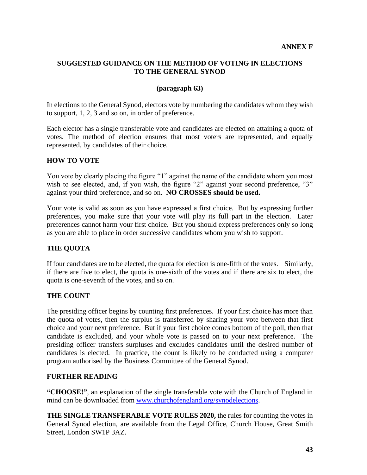## **SUGGESTED GUIDANCE ON THE METHOD OF VOTING IN ELECTIONS TO THE GENERAL SYNOD**

## **(paragraph 63)**

In elections to the General Synod, electors vote by numbering the candidates whom they wish to support, 1, 2, 3 and so on, in order of preference.

Each elector has a single transferable vote and candidates are elected on attaining a quota of votes. The method of election ensures that most voters are represented, and equally represented, by candidates of their choice.

## **HOW TO VOTE**

You vote by clearly placing the figure "1" against the name of the candidate whom you most wish to see elected, and, if you wish, the figure "2" against your second preference, "3" against your third preference, and so on. **NO CROSSES should be used.**

Your vote is valid as soon as you have expressed a first choice. But by expressing further preferences, you make sure that your vote will play its full part in the election. Later preferences cannot harm your first choice. But you should express preferences only so long as you are able to place in order successive candidates whom you wish to support.

## **THE QUOTA**

If four candidates are to be elected, the quota for election is one-fifth of the votes. Similarly, if there are five to elect, the quota is one-sixth of the votes and if there are six to elect, the quota is one-seventh of the votes, and so on.

## **THE COUNT**

The presiding officer begins by counting first preferences. If your first choice has more than the quota of votes, then the surplus is transferred by sharing your vote between that first choice and your next preference. But if your first choice comes bottom of the poll, then that candidate is excluded, and your whole vote is passed on to your next preference. The presiding officer transfers surpluses and excludes candidates until the desired number of candidates is elected. In practice, the count is likely to be conducted using a computer program authorised by the Business Committee of the General Synod.

## **FURTHER READING**

**"CHOOSE!"**, an explanation of the single transferable vote with the Church of England in mind can be downloaded from [www.churchofengland.org/synodelections.](http://www.churchofengland.org/synodelections)

**THE SINGLE TRANSFERABLE VOTE RULES 2020,** the rules for counting the votes in General Synod election, are available from the Legal Office, Church House, Great Smith Street, London SW1P 3AZ.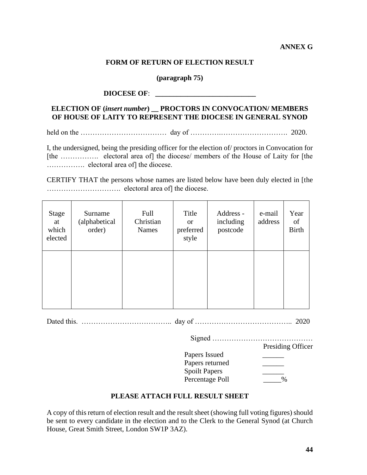## **ANNEX G**

#### **FORM OF RETURN OF ELECTION RESULT**

**(paragraph 75)**

#### **DIOCESE OF**: **\_\_\_\_\_\_\_\_\_\_\_\_\_\_\_\_\_\_\_\_\_\_\_\_\_\_\_\_**

## **ELECTION OF (***insert number***) \_\_ PROCTORS IN CONVOCATION/ MEMBERS OF HOUSE OF LAITY TO REPRESENT THE DIOCESE IN GENERAL SYNOD**

held on the ……………………………… day of ………….………………………. 2020.

I, the undersigned, being the presiding officer for the election of/ proctors in Convocation for [the ……………. electoral area of] the diocese/ members of the House of Laity for [the ……………. electoral area of] the diocese.

CERTIFY THAT the persons whose names are listed below have been duly elected in [the …………………………. electoral area of] the diocese.

| Stage<br>at<br>which<br>elected | Surname<br>(alphabetical<br>order) | Full<br>Christian<br><b>Names</b> | Title<br><sub>or</sub><br>preferred<br>style | Address -<br>including<br>postcode | e-mail<br>address | Year<br>of<br><b>Birth</b> |
|---------------------------------|------------------------------------|-----------------------------------|----------------------------------------------|------------------------------------|-------------------|----------------------------|
|                                 |                                    |                                   |                                              |                                    |                   |                            |

Dated this. ……………………………….. day of ………………………………….. 2020

Signed ……………………………………

Presiding Officer

Papers Issued Papers returned Spoilt Papers Percentage Poll  $\%$ 

## **PLEASE ATTACH FULL RESULT SHEET**

A copy of this return of election result and the result sheet (showing full voting figures) should be sent to every candidate in the election and to the Clerk to the General Synod (at Church House, Great Smith Street, London SW1P 3AZ).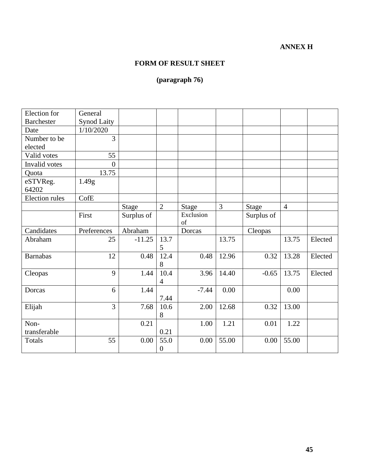## **ANNEX H**

## **FORM OF RESULT SHEET**

## **(paragraph 76)**

| Election for          | General            |              |                |                 |                |              |                |         |
|-----------------------|--------------------|--------------|----------------|-----------------|----------------|--------------|----------------|---------|
| <b>Barchester</b>     | <b>Synod Laity</b> |              |                |                 |                |              |                |         |
| Date                  | 1/10/2020          |              |                |                 |                |              |                |         |
| Number to be          | $\overline{3}$     |              |                |                 |                |              |                |         |
| elected               |                    |              |                |                 |                |              |                |         |
| Valid votes           | 55                 |              |                |                 |                |              |                |         |
| Invalid votes         | $\boldsymbol{0}$   |              |                |                 |                |              |                |         |
| Quota                 | 13.75              |              |                |                 |                |              |                |         |
| eSTVReg.              | 1.49g              |              |                |                 |                |              |                |         |
| 64202                 |                    |              |                |                 |                |              |                |         |
| <b>Election</b> rules | CofE               |              |                |                 |                |              |                |         |
|                       |                    | <b>Stage</b> | $\overline{2}$ | <b>Stage</b>    | $\overline{3}$ | <b>Stage</b> | $\overline{4}$ |         |
|                       | First              | Surplus of   |                | Exclusion<br>of |                | Surplus of   |                |         |
| Candidates            | Preferences        | Abraham      |                | Dorcas          |                | Cleopas      |                |         |
| Abraham               | 25                 | $-11.25$     | 13.7           |                 | 13.75          |              | 13.75          | Elected |
|                       |                    |              | 5              |                 |                |              |                |         |
| <b>Barnabas</b>       | 12                 | 0.48         | 12.4           | 0.48            | 12.96          | 0.32         | 13.28          | Elected |
|                       |                    |              | 8              |                 |                |              |                |         |
| Cleopas               | 9                  | 1.44         | 10.4           | 3.96            | 14.40          | $-0.65$      | 13.75          | Elected |
|                       |                    |              | $\overline{4}$ |                 |                |              |                |         |
| Dorcas                | 6                  | 1.44         |                | $-7.44$         | 0.00           |              | 0.00           |         |
|                       |                    |              | 7.44           |                 |                |              |                |         |
| Elijah                | $\overline{3}$     | 7.68         | 10.6           | 2.00            | 12.68          | 0.32         | 13.00          |         |
|                       |                    |              | 8              |                 |                |              |                |         |
| Non-                  |                    | 0.21         |                | 1.00            | 1.21           | 0.01         | 1.22           |         |
| transferable          |                    |              | 0.21           |                 |                |              |                |         |
| Totals                | 55                 | 0.00         | 55.0           | 0.00            | 55.00          | 0.00         | 55.00          |         |
|                       |                    |              | $\overline{0}$ |                 |                |              |                |         |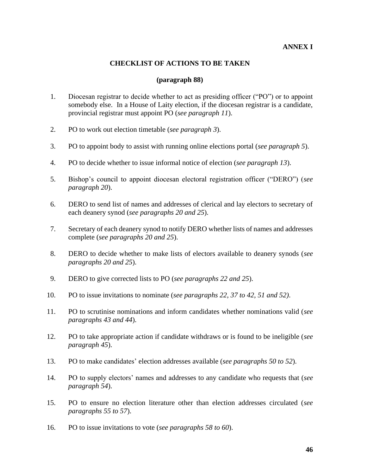## **ANNEX I**

#### **CHECKLIST OF ACTIONS TO BE TAKEN**

#### **(paragraph 88)**

- 1. Diocesan registrar to decide whether to act as presiding officer ("PO") or to appoint somebody else. In a House of Laity election, if the diocesan registrar is a candidate, provincial registrar must appoint PO (*see paragraph 11*).
- 2. PO to work out election timetable (*see paragraph 3*).
- 3. PO to appoint body to assist with running online elections portal (*see paragraph 5*).
- 4. PO to decide whether to issue informal notice of election (*see paragraph 13*).
- 5. Bishop's council to appoint diocesan electoral registration officer ("DERO") (*see paragraph 20*).
- 6. DERO to send list of names and addresses of clerical and lay electors to secretary of each deanery synod (*see paragraphs 20 and 25*).
- 7. Secretary of each deanery synod to notify DERO whether lists of names and addresses complete (*see paragraphs 20 and 25*).
- 8. DERO to decide whether to make lists of electors available to deanery synods (*see paragraphs 20 and 25*).
- 9. DERO to give corrected lists to PO (*see paragraphs 22 and 25*).
- 10. PO to issue invitations to nominate (*see paragraphs 22, 37 to 42, 51 and 52)*.
- 11. PO to scrutinise nominations and inform candidates whether nominations valid (*see paragraphs 43 and 44*).
- 12. PO to take appropriate action if candidate withdraws or is found to be ineligible (*see paragraph 45*).
- 13. PO to make candidates' election addresses available (*see paragraphs 50 to 52*).
- 14. PO to supply electors' names and addresses to any candidate who requests that (*see paragraph 54*).
- 15. PO to ensure no election literature other than election addresses circulated (*see paragraphs 55 to 57*).
- 16. PO to issue invitations to vote (*see paragraphs 58 to 60*).